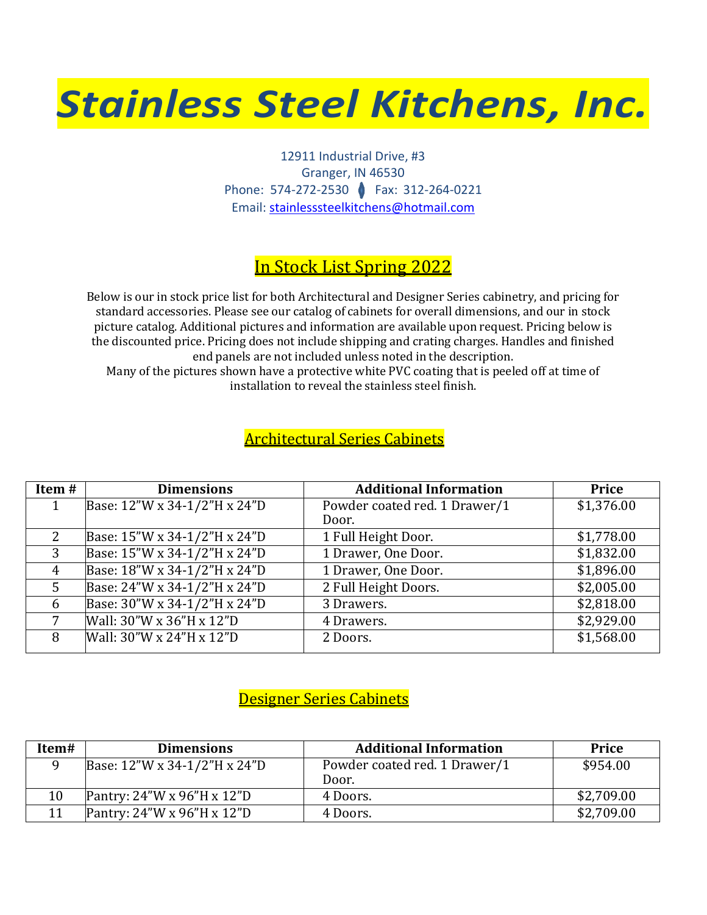# *Stainless Steel Kitchens, Inc.*

12911 Industrial Drive, #3 Granger, IN 46530 Phone: 574-272-2530 Fax: 312-264-0221 Email: [stainlesssteelkitchens@hotmail.com](mailto:stainlesssteelkitchens@hotmail.com)

# In Stock List Spring 2022

Below is our in stock price list for both Architectural and Designer Series cabinetry, and pricing for standard accessories. Please see our catalog of cabinets for overall dimensions, and our in stock picture catalog. Additional pictures and information are available upon request. Pricing below is the discounted price. Pricing does not include shipping and crating charges. Handles and finished end panels are not included unless noted in the description.

Many of the pictures shown have a protective white PVC coating that is peeled off at time of installation to reveal the stainless steel finish.

## Architectural Series Cabinets

| Item# | <b>Dimensions</b>            | <b>Additional Information</b> | <b>Price</b> |
|-------|------------------------------|-------------------------------|--------------|
|       | Base: 12"W x 34-1/2"H x 24"D | Powder coated red. 1 Drawer/1 | \$1,376.00   |
|       |                              | Door.                         |              |
| 2     | Base: 15"W x 34-1/2"H x 24"D | 1 Full Height Door.           | \$1,778.00   |
| 3     | Base: 15"W x 34-1/2"H x 24"D | 1 Drawer, One Door.           | \$1,832.00   |
| 4     | Base: 18"W x 34-1/2"H x 24"D | 1 Drawer, One Door.           | \$1,896.00   |
| 5     | Base: 24"W x 34-1/2"H x 24"D | 2 Full Height Doors.          | \$2,005.00   |
| 6     | Base: 30"W x 34-1/2"H x 24"D | 3 Drawers.                    | \$2,818.00   |
| 7     | Wall: 30"W x 36"H x 12"D     | 4 Drawers.                    | \$2,929.00   |
| 8     | Wall: 30"W x 24"H x 12"D     | 2 Doors.                      | \$1,568.00   |

### Designer Series Cabinets

| Item# | <b>Dimensions</b>            | <b>Additional Information</b> | <b>Price</b> |
|-------|------------------------------|-------------------------------|--------------|
|       | Base: 12"W x 34-1/2"H x 24"D | Powder coated red. 1 Drawer/1 | \$954.00     |
|       |                              | Door.                         |              |
| 10    | Pantry: 24"W x 96"H x 12"D   | 4 Doors.                      | \$2,709.00   |
|       | Pantry: 24"W x 96"H x 12"D   | 4 Doors.                      | \$2,709.00   |